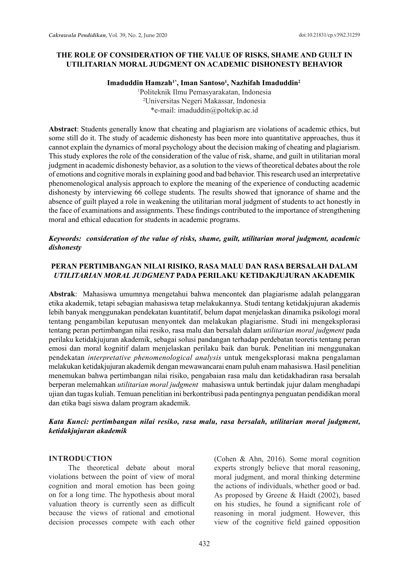# **THE ROLE OF CONSIDERATION OF THE VALUE OF RISKS, SHAME AND GUILT IN UTILITARIAN MORAL JUDGMENT ON ACADEMIC DISHONESTY BEHAVIOR**

**Imaduddin Hamzah1\*, Iman Santoso1 , Nazhifah Imaduddin<sup>2</sup>**

1 Politeknik Ilmu Pemasyarakatan, Indonesia 2 Universitas Negeri Makassar, Indonesia \*e-mail: imaduddin@poltekip.ac.id

**Abstract**: Students generally know that cheating and plagiarism are violations of academic ethics, but some still do it. The study of academic dishonesty has been more into quantitative approaches, thus it cannot explain the dynamics of moral psychology about the decision making of cheating and plagiarism. This study explores the role of the consideration of the value of risk, shame, and guilt in utilitarian moral judgment in academic dishonesty behavior, as a solution to the views of theoretical debates about the role of emotions and cognitive morals in explaining good and bad behavior. This research used an interpretative phenomenological analysis approach to explore the meaning of the experience of conducting academic dishonesty by interviewing 66 college students. The results showed that ignorance of shame and the absence of guilt played a role in weakening the utilitarian moral judgment of students to act honestly in the face of examinations and assignments. These findings contributed to the importance of strengthening moral and ethical education for students in academic programs.

## *Keywords: consideration of the value of risks, shame, guilt, utilitarian moral judgment, academic dishonesty*

# **PERAN PERTIMBANGAN NILAI RISIKO, RASA MALU DAN RASA BERSALAH DALAM**  *UTILITARIAN MORAL JUDGMENT* **PADA PERILAKU KETIDAKJUJURAN AKADEMIK**

**Abstrak**: Mahasiswa umumnya mengetahui bahwa mencontek dan plagiarisme adalah pelanggaran etika akademik, tetapi sebagian mahasiswa tetap melakukannya. Studi tentang ketidakjujuran akademis lebih banyak menggunakan pendekatan kuantitatif, belum dapat menjelaskan dinamika psikologi moral tentang pengambilan keputusan menyontek dan melakukan plagiarisme. Studi ini mengeksplorasi tentang peran pertimbangan nilai resiko, rasa malu dan bersalah dalam *utilitarian moral judgment* pada perilaku ketidakjujuran akademik, sebagai solusi pandangan terhadap perdebatan teoretis tentang peran emosi dan moral kognitif dalam menjelaskan perilaku baik dan buruk. Penelitian ini menggunakan pendekatan *interpretative phenomenological analysis* untuk mengeksplorasi makna pengalaman melakukan ketidakjujuran akademik dengan mewawancarai enam puluh enam mahasiswa. Hasil penelitian menemukan bahwa pertimbangan nilai risiko, pengabaian rasa malu dan ketidakhadiran rasa bersalah berperan melemahkan *utilitarian moral judgment* mahasiswa untuk bertindak jujur dalam menghadapi ujian dan tugas kuliah. Temuan penelitian ini berkontribusi pada pentingnya penguatan pendidikan moral dan etika bagi siswa dalam program akademik.

### *Kata Kunci: pertimbangan nilai resiko, rasa malu, rasa bersalah, utilitarian moral judgment, ketidakjujuran akademik*

#### **INTRODUCTION**

The theoretical debate about moral violations between the point of view of moral cognition and moral emotion has been going on for a long time. The hypothesis about moral valuation theory is currently seen as difficult because the views of rational and emotional decision processes compete with each other (Cohen & Ahn, 2016). Some moral cognition experts strongly believe that moral reasoning, moral judgment, and moral thinking determine the actions of individuals, whether good or bad. As proposed by Greene & Haidt (2002), based on his studies, he found a significant role of reasoning in moral judgment. However, this view of the cognitive field gained opposition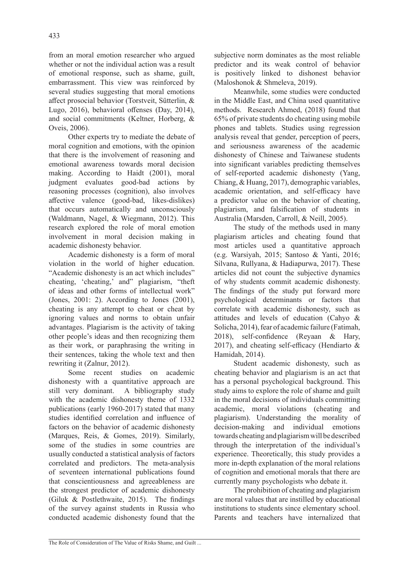from an moral emotion researcher who argued whether or not the individual action was a result of emotional response, such as shame, guilt, embarrassment. This view was reinforced by several studies suggesting that moral emotions affect prosocial behavior (Torstveit, Sütterlin, & Lugo, 2016), behavioral offenses (Day, 2014), and social commitments (Keltner, Horberg, & Oveis, 2006).

Other experts try to mediate the debate of moral cognition and emotions, with the opinion that there is the involvement of reasoning and emotional awareness towards moral decision making. According to Haidt (2001), moral judgment evaluates good-bad actions by reasoning processes (cognition), also involves affective valence (good-bad, likes-dislikes) that occurs automatically and unconsciously (Waldmann, Nagel, & Wiegmann, 2012). This research explored the role of moral emotion involvement in moral decision making in academic dishonesty behavior.

Academic dishonesty is a form of moral violation in the world of higher education. "Academic dishonesty is an act which includes" cheating, 'cheating,' and" plagiarism, "theft of ideas and other forms of intellectual work" (Jones, 2001: 2). According to Jones (2001), cheating is any attempt to cheat or cheat by ignoring values and norms to obtain unfair advantages. Plagiarism is the activity of taking other people's ideas and then recognizing them as their work, or paraphrasing the writing in their sentences, taking the whole text and then rewriting it (Zalnur, 2012).

Some recent studies on academic dishonesty with a quantitative approach are still very dominant. A bibliography study with the academic dishonesty theme of 1332 publications (early 1960-2017) stated that many studies identified correlation and influence of factors on the behavior of academic dishonesty (Marques, Reis, & Gomes, 2019). Similarly, some of the studies in some countries are usually conducted a statistical analysis of factors correlated and predictors. The meta-analysis of seventeen international publications found that conscientiousness and agreeableness are the strongest predictor of academic dishonesty (Giluk & Postlethwaite, 2015). The findings of the survey against students in Russia who conducted academic dishonesty found that the subjective norm dominates as the most reliable predictor and its weak control of behavior is positively linked to dishonest behavior (Maloshonok & Shmeleva, 2019).

Meanwhile, some studies were conducted in the Middle East, and China used quantitative methods. Research Ahmed, (2018) found that 65% of private students do cheating using mobile phones and tablets. Studies using regression analysis reveal that gender, perception of peers, and seriousness awareness of the academic dishonesty of Chinese and Taiwanese students into significant variables predicting themselves of self-reported academic dishonesty (Yang, Chiang, & Huang, 2017), demographic variables, academic orientation, and self-efficacy have a predictor value on the behavior of cheating, plagiarism, and falsification of students in Australia (Marsden, Carroll, & Neill, 2005).

The study of the methods used in many plagiarism articles and cheating found that most articles used a quantitative approach (e.g. Warsiyah, 2015; Santoso & Yanti, 2016; Silvana, Rullyana, & Hadiapurwa, 2017). These articles did not count the subjective dynamics of why students commit academic dishonesty. The findings of the study put forward more psychological determinants or factors that correlate with academic dishonesty, such as attitudes and levels of education (Cahyo & Solicha, 2014), fear of academic failure (Fatimah, 2018), self-confidence (Reyaan & Hary, 2017), and cheating self-efficacy (Hendiarto & Hamidah, 2014).

Student academic dishonesty, such as cheating behavior and plagiarism is an act that has a personal psychological background. This study aims to explore the role of shame and guilt in the moral decisions of individuals committing academic, moral violations (cheating and plagiarism). Understanding the morality of decision-making and individual emotions towards cheating and plagiarism will be described through the interpretation of the individual's experience. Theoretically, this study provides a more in-depth explanation of the moral relations of cognition and emotional morals that there are currently many psychologists who debate it.

The prohibition of cheating and plagiarism are moral values that are instilled by educational institutions to students since elementary school. Parents and teachers have internalized that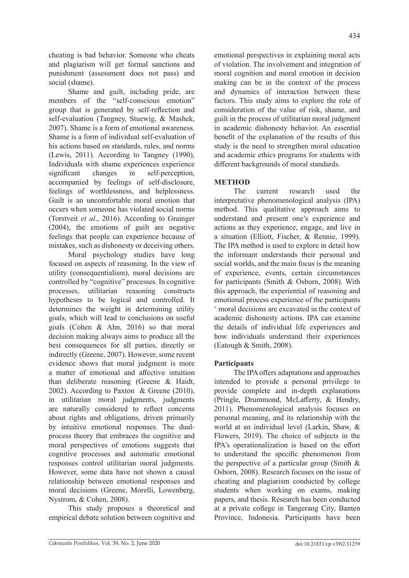cheating is bad behavior. Someone who cheats and plagiarism will get formal sanctions and punishment (assessment does not pass) and social (shame).

Shame and guilt, including pride, are members of the "self-conscious emotion" group that is generated by self-reflection and self-evaluation (Tangney, Stuewig, & Mashek, 2007). Shame is a form of emotional awareness. Shame is a form of individual self-evaluation of his actions based on standards, rules, and norms (Lewis, 2011). According to Tangney (1990), Individuals with shame experiences experience significant changes in self-perception, accompanied by feelings of self-disclosure, feelings of worthlessness, and helplessness. Guilt is an uncomfortable moral emotion that occurs when someone has violated social norms (Torstveit *et al*., 2016). According to Grainger (2004), the emotions of guilt are negative feelings that people can experience because of mistakes, such as dishonesty or deceiving others.

Moral psychology studies have long focused on aspects of reasoning. In the view of utility (consequentialism), moral decisions are controlled by "cognitive" processes. In cognitive processes, utilitarian reasoning constructs hypotheses to be logical and controlled. It determines the weight in determining utility goals, which will lead to conclusions on useful goals (Cohen & Ahn, 2016) so that moral decision making always aims to produce all the best consequences for all parties, directly or indirectly (Greene, 2007). However, some recent evidence shows that moral judgment is more a matter of emotional and affective intuition than deliberate reasoning (Greene & Haidt, 2002). According to Paxton & Greene (2010), in utilitarian moral judgments, judgments are naturally considered to reflect concerns about rights and obligations, driven primarily by intuitive emotional responses. The dualprocess theory that embraces the cognitive and moral perspectives of emotions suggests that cognitive processes and automatic emotional responses control utilitarian moral judgments. However, some data have not shown a causal relationship between emotional responses and moral decisions (Greene, Morelli, Lowenberg, Nystrom, & Cohen, 2008).

This study proposes a theoretical and empirical debate solution between cognitive and emotional perspectives in explaining moral acts of violation. The involvement and integration of moral cognition and moral emotion in decision making can be in the context of the process and dynamics of interaction between these factors. This study aims to explore the role of consideration of the value of risk, shame, and guilt in the process of utilitarian moral judgment in academic dishonesty behavior. An essential benefit of the explanation of the results of this study is the need to strengthen moral education and academic ethics programs for students with different backgrounds of moral standards.

# **METHOD**

The current research used the interpretative phenomenological analysis (IPA) method. This qualitative approach aims to understand and present one's experience and actions as they experience, engage, and live in a situation (Elliott, Fischer, & Rennie, 1999). The IPA method is used to explore in detail how the informant understands their personal and social worlds, and the main focus is the meaning of experience, events, certain circumstances for participants (Smith & Osborn, 2008). With this approach, the experiential of reasoning and emotional process experience of the participants ' moral decisions are excavated in the context of academic dishonesty actions. IPA can examine the details of individual life experiences and how individuals understand their experiences (Eatough & Smith, 2008).

# **Participants**

The IPA offers adaptations and approaches intended to provide a personal privilege to provide complete and in-depth explanations (Pringle, Drummond, McLafferty, & Hendry, 2011). Phenomenological analysis focuses on personal meaning, and its relationship with the world at an individual level (Larkin, Shaw, & Flowers, 2019). The choice of subjects in the IPA's operationalization is based on the effort to understand the specific phenomenon from the perspective of a particular group (Smith & Osborn, 2008). Research focuses on the issue of cheating and plagiarism conducted by college students when working on exams, making papers, and thesis. Research has been conducted at a private college in Tangerang City, Banten Province, Indonesia. Participants have been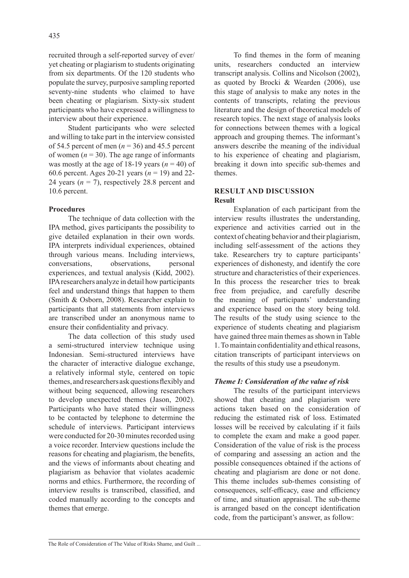recruited through a self-reported survey of ever/ yet cheating or plagiarism to students originating from six departments. Of the 120 students who populate the survey, purposive sampling reported seventy-nine students who claimed to have been cheating or plagiarism. Sixty-six student participants who have expressed a willingness to interview about their experience.

Student participants who were selected and willing to take part in the interview consisted of 54.5 percent of men  $(n = 36)$  and 45.5 percent of women  $(n = 30)$ . The age range of informants was mostly at the age of 18-19 years  $(n = 40)$  of 60.6 percent. Ages 20-21 years (*n* = 19) and 22- 24 years  $(n = 7)$ , respectively 28.8 percent and 10.6 percent.

#### **Procedures**

The technique of data collection with the IPA method, gives participants the possibility to give detailed explanation in their own words. IPA interprets individual experiences, obtained through various means. Including interviews, conversations, observations, personal experiences, and textual analysis (Kidd, 2002). IPA researchers analyze in detail how participants feel and understand things that happen to them (Smith & Osborn, 2008). Researcher explain to participants that all statements from interviews are transcribed under an anonymous name to ensure their confidentiality and privacy.

The data collection of this study used a semi-structured interview technique using Indonesian. Semi-structured interviews have the character of interactive dialogue exchange, a relatively informal style, centered on topic themes, and researchers ask questions flexibly and without being sequenced, allowing researchers to develop unexpected themes (Jason, 2002). Participants who have stated their willingness to be contacted by telephone to determine the schedule of interviews. Participant interviews were conducted for 20-30 minutes recorded using a voice recorder. Interview questions include the reasons for cheating and plagiarism, the benefits, and the views of informants about cheating and plagiarism as behavior that violates academic norms and ethics. Furthermore, the recording of interview results is transcribed, classified, and coded manually according to the concepts and themes that emerge.

To find themes in the form of meaning units, researchers conducted an interview transcript analysis. Collins and Nicolson (2002), as quoted by Brocki & Wearden (2006), use this stage of analysis to make any notes in the contents of transcripts, relating the previous literature and the design of theoretical models of research topics. The next stage of analysis looks for connections between themes with a logical approach and grouping themes. The informant's answers describe the meaning of the individual to his experience of cheating and plagiarism, breaking it down into specific sub-themes and themes.

## **RESULT AND DISCUSSION Result**

Explanation of each participant from the interview results illustrates the understanding, experience and activities carried out in the context of cheating behavior and their plagiarism, including self-assessment of the actions they take. Researchers try to capture participants' experiences of dishonesty, and identify the core structure and characteristics of their experiences. In this process the researcher tries to break free from prejudice, and carefully describe the meaning of participants' understanding and experience based on the story being told. The results of the study using science to the experience of students cheating and plagiarism have gained three main themes as shown in Table 1. To maintain confidentiality and ethical reasons, citation transcripts of participant interviews on the results of this study use a pseudonym.

#### *Theme I: Consideration of the value of risk*

The results of the participant interviews showed that cheating and plagiarism were actions taken based on the consideration of reducing the estimated risk of loss. Estimated losses will be received by calculating if it fails to complete the exam and make a good paper. Consideration of the value of risk is the process of comparing and assessing an action and the possible consequences obtained if the actions of cheating and plagiarism are done or not done. This theme includes sub-themes consisting of consequences, self-efficacy, ease and efficiency of time, and situation appraisal. The sub-theme is arranged based on the concept identification code, from the participant's answer, as follow: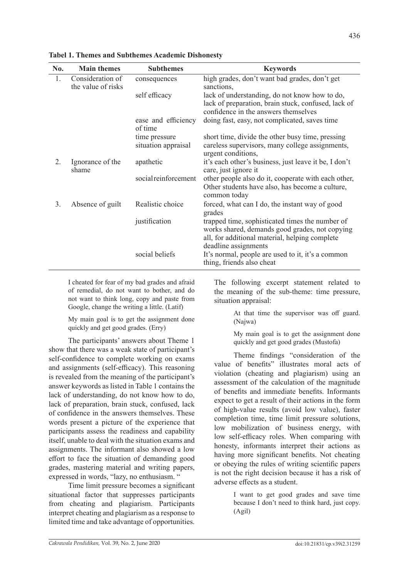| No. | <b>Main themes</b>                     | <b>Subthemes</b>               | <b>Keywords</b>                                                                                                                                                             |
|-----|----------------------------------------|--------------------------------|-----------------------------------------------------------------------------------------------------------------------------------------------------------------------------|
| 1.  | Consideration of<br>the value of risks | consequences                   | high grades, don't want bad grades, don't get<br>sanctions,                                                                                                                 |
|     |                                        | self efficacy                  | lack of understanding, do not know how to do,<br>lack of preparation, brain stuck, confused, lack of<br>confidence in the answers themselves                                |
|     |                                        | ease and efficiency<br>of time | doing fast, easy, not complicated, saves time                                                                                                                               |
|     |                                        | time pressure                  | short time, divide the other busy time, pressing                                                                                                                            |
|     |                                        | situation appraisal            | careless supervisors, many college assignments,<br>urgent conditions,                                                                                                       |
| 2.  | Ignorance of the<br>shame              | apathetic                      | it's each other's business, just leave it be, I don't<br>care, just ignore it                                                                                               |
|     |                                        | socialreinforcement            | other people also do it, cooperate with each other,<br>Other students have also, has become a culture,<br>common today                                                      |
| 3.  | Absence of guilt                       | Realistic choice               | forced, what can I do, the instant way of good<br>grades                                                                                                                    |
|     |                                        | justification                  | trapped time, sophisticated times the number of<br>works shared, demands good grades, not copying<br>all, for additional material, helping complete<br>deadline assignments |
|     |                                        | social beliefs                 | It's normal, people are used to it, it's a common<br>thing, friends also cheat                                                                                              |

**Tabel 1. Themes and Subthemes Academic Dishonesty**

I cheated for fear of my bad grades and afraid of remedial, do not want to bother, and do not want to think long, copy and paste from Google, change the writing a little. (Latif)

My main goal is to get the assignment done quickly and get good grades. (Erry)

The participants' answers about Theme 1 show that there was a weak state of participant's self-confidence to complete working on exams and assignments (self-efficacy). This reasoning is revealed from the meaning of the participant's answer keywords as listed in Table 1 contains the lack of understanding, do not know how to do, lack of preparation, brain stuck, confused, lack of confidence in the answers themselves. These words present a picture of the experience that participants assess the readiness and capability itself, unable to deal with the situation exams and assignments. The informant also showed a low effort to face the situation of demanding good grades, mastering material and writing papers, expressed in words, "lazy, no enthusiasm. "

Time limit pressure becomes a significant situational factor that suppresses participants from cheating and plagiarism. Participants interpret cheating and plagiarism as a response to limited time and take advantage of opportunities.

The following excerpt statement related to the meaning of the sub-theme: time pressure, situation appraisal:

> At that time the supervisor was off guard. (Najwa)

> My main goal is to get the assignment done quickly and get good grades (Mustofa)

Theme findings "consideration of the value of benefits" illustrates moral acts of violation (cheating and plagiarism) using an assessment of the calculation of the magnitude of benefits and immediate benefits. Informants expect to get a result of their actions in the form of high-value results (avoid low value), faster completion time, time limit pressure solutions, low mobilization of business energy, with low self-efficacy roles. When comparing with honesty, informants interpret their actions as having more significant benefits. Not cheating or obeying the rules of writing scientific papers is not the right decision because it has a risk of adverse effects as a student.

> I want to get good grades and save time because I don't need to think hard, just copy. (Agil)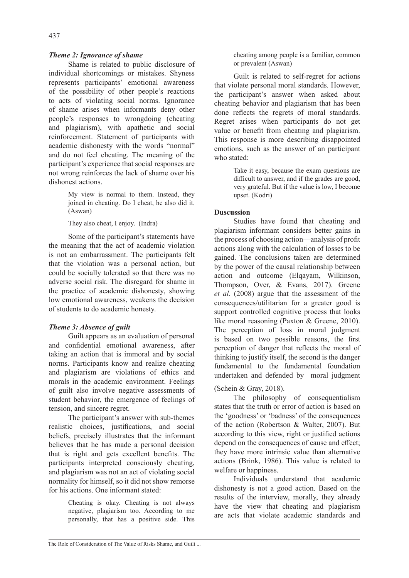437

## *Theme 2: Ignorance of shame*

Shame is related to public disclosure of individual shortcomings or mistakes. Shyness represents participants' emotional awareness of the possibility of other people's reactions to acts of violating social norms. Ignorance of shame arises when informants deny other people's responses to wrongdoing (cheating and plagiarism), with apathetic and social reinforcement. Statement of participants with academic dishonesty with the words "normal" and do not feel cheating. The meaning of the participant's experience that social responses are not wrong reinforces the lack of shame over his dishonest actions.

> My view is normal to them. Instead, they joined in cheating. Do I cheat, he also did it. (Aswan)

They also cheat, I enjoy. (Indra)

Some of the participant's statements have the meaning that the act of academic violation is not an embarrassment. The participants felt that the violation was a personal action, but could be socially tolerated so that there was no adverse social risk. The disregard for shame in the practice of academic dishonesty, showing low emotional awareness, weakens the decision of students to do academic honesty.

# *Theme 3: Absence of guilt*

Guilt appears as an evaluation of personal and confidential emotional awareness, after taking an action that is immoral and by social norms. Participants know and realize cheating and plagiarism are violations of ethics and morals in the academic environment. Feelings of guilt also involve negative assessments of student behavior, the emergence of feelings of tension, and sincere regret.

The participant's answer with sub-themes realistic choices, justifications, and social beliefs, precisely illustrates that the informant believes that he has made a personal decision that is right and gets excellent benefits. The participants interpreted consciously cheating, and plagiarism was not an act of violating social normality for himself, so it did not show remorse for his actions. One informant stated:

> Cheating is okay. Cheating is not always negative, plagiarism too. According to me personally, that has a positive side. This

cheating among people is a familiar, common or prevalent (Aswan)

Guilt is related to self-regret for actions that violate personal moral standards. However, the participant's answer when asked about cheating behavior and plagiarism that has been done reflects the regrets of moral standards. Regret arises when participants do not get value or benefit from cheating and plagiarism. This response is more describing disappointed emotions, such as the answer of an participant who stated:

> Take it easy, because the exam questions are difficult to answer, and if the grades are good, very grateful. But if the value is low, I become upset. (Kodri)

# **Duscussion**

Studies have found that cheating and plagiarism informant considers better gains in the process of choosing action—analysis of profit actions along with the calculation of losses to be gained. The conclusions taken are determined by the power of the causal relationship between action and outcome (Elqayam, Wilkinson, Thompson, Over, & Evans, 2017). Greene *et al*. (2008) argue that the assessment of the consequences/utilitarian for a greater good is support controlled cognitive process that looks like moral reasoning (Paxton & Greene, 2010). The perception of loss in moral judgment is based on two possible reasons, the first perception of danger that reflects the moral of thinking to justify itself, the second is the danger fundamental to the fundamental foundation undertaken and defended by moral judgment

# (Schein & Gray, 2018).

The philosophy of consequentialism states that the truth or error of action is based on the 'goodness' or 'badness' of the consequences of the action (Robertson & Walter, 2007). But according to this view, right or justified actions depend on the consequences of cause and effect; they have more intrinsic value than alternative actions (Brink, 1986). This value is related to welfare or happiness.

Individuals understand that academic dishonesty is not a good action. Based on the results of the interview, morally, they already have the view that cheating and plagiarism are acts that violate academic standards and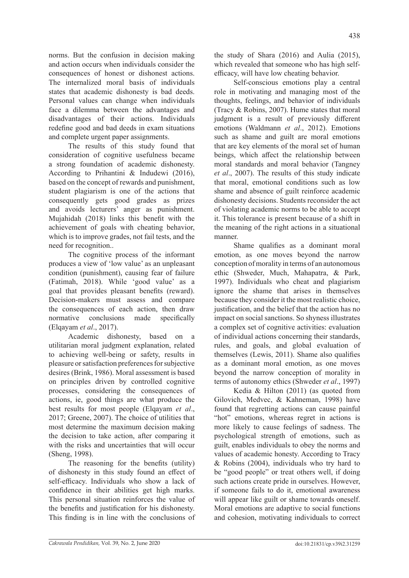norms. But the confusion in decision making and action occurs when individuals consider the consequences of honest or dishonest actions. The internalized moral basis of individuals states that academic dishonesty is bad deeds. Personal values can change when individuals face a dilemma between the advantages and disadvantages of their actions. Individuals redefine good and bad deeds in exam situations and complete urgent paper assignments.

The results of this study found that consideration of cognitive usefulness became a strong foundation of academic dishonesty. According to Prihantini & Indudewi (2016), based on the concept of rewards and punishment, student plagiarism is one of the actions that consequently gets good grades as prizes and avoids lecturers' anger as punishment. Mujahidah (2018) links this benefit with the achievement of goals with cheating behavior, which is to improve grades, not fail tests, and the need for recognition..

The cognitive process of the informant produces a view of 'low value' as an unpleasant condition (punishment), causing fear of failure (Fatimah, 2018). While 'good value' as a goal that provides pleasant benefits (reward). Decision-makers must assess and compare the consequences of each action, then draw normative conclusions made specifically (Elqayam *et al*., 2017).

Academic dishonesty, based on a utilitarian moral judgment explanation, related to achieving well-being or safety, results in pleasure or satisfaction preferences for subjective desires (Brink, 1986). Moral assessment is based on principles driven by controlled cognitive processes, considering the consequences of actions, ie, good things are what produce the best results for most people (Elqayam *et al*., 2017; Greene, 2007). The choice of utilities that most determine the maximum decision making the decision to take action, after comparing it with the risks and uncertainties that will occur (Sheng, 1998).

The reasoning for the benefits (utility) of dishonesty in this study found an effect of self-efficacy. Individuals who show a lack of confidence in their abilities get high marks. This personal situation reinforces the value of the benefits and justification for his dishonesty. This finding is in line with the conclusions of the study of Shara (2016) and Aulia (2015), which revealed that someone who has high selfefficacy, will have low cheating behavior.

Self-conscious emotions play a central role in motivating and managing most of the thoughts, feelings, and behavior of individuals (Tracy & Robins, 2007). Hume states that moral judgment is a result of previously different emotions (Waldmann *et al*., 2012). Emotions such as shame and guilt are moral emotions that are key elements of the moral set of human beings, which affect the relationship between moral standards and moral behavior (Tangney *et al*., 2007). The results of this study indicate that moral, emotional conditions such as low shame and absence of guilt reinforce academic dishonesty decisions. Students reconsider the act of violating academic norms to be able to accept it. This tolerance is present because of a shift in the meaning of the right actions in a situational manner.

Shame qualifies as a dominant moral emotion, as one moves beyond the narrow conception of morality in terms of an autonomous ethic (Shweder, Much, Mahapatra, & Park, 1997). Individuals who cheat and plagiarism ignore the shame that arises in themselves because they consider it the most realistic choice, justification, and the belief that the action has no impact on social sanctions. So shyness illustrates a complex set of cognitive activities: evaluation of individual actions concerning their standards, rules, and goals, and global evaluation of themselves (Lewis, 2011). Shame also qualifies as a dominant moral emotion, as one moves beyond the narrow conception of morality in terms of autonomy ethics (Shweder *et al*., 1997)

Kedia & Hilton (2011) (as quoted from Gilovich, Medvec, & Kahneman, 1998) have found that regretting actions can cause painful "hot" emotions, whereas regret in actions is more likely to cause feelings of sadness. The psychological strength of emotions, such as guilt, enables individuals to obey the norms and values of academic honesty. According to Tracy & Robins (2004), individuals who try hard to be "good people" or treat others well, if doing such actions create pride in ourselves. However, if someone fails to do it, emotional awareness will appear like guilt or shame towards oneself. Moral emotions are adaptive to social functions and cohesion, motivating individuals to correct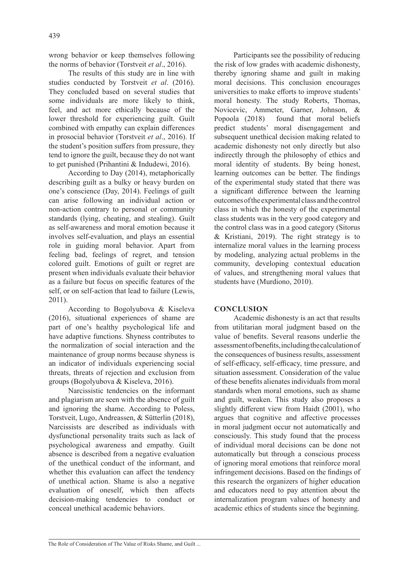wrong behavior or keep themselves following the norms of behavior (Torstveit *et al*., 2016).

The results of this study are in line with studies conducted by Torstveit *et al*. (2016). They concluded based on several studies that some individuals are more likely to think, feel, and act more ethically because of the lower threshold for experiencing guilt. Guilt combined with empathy can explain differences in prosocial behavior (Torstveit *et al*., 2016). If the student's position suffers from pressure, they tend to ignore the guilt, because they do not want to get punished (Prihantini & Indudewi, 2016).

According to Day (2014), metaphorically describing guilt as a bulky or heavy burden on one's conscience (Day, 2014). Feelings of guilt can arise following an individual action or non-action contrary to personal or community standards (lying, cheating, and stealing). Guilt as self-awareness and moral emotion because it involves self-evaluation, and plays an essential role in guiding moral behavior. Apart from feeling bad, feelings of regret, and tension colored guilt. Emotions of guilt or regret are present when individuals evaluate their behavior as a failure but focus on specific features of the self, or on self-action that lead to failure (Lewis, 2011).

According to Bogolyubova & Kiseleva (2016), situational experiences of shame are part of one's healthy psychological life and have adaptive functions. Shyness contributes to the normalization of social interaction and the maintenance of group norms because shyness is an indicator of individuals experiencing social threats, threats of rejection and exclusion from groups (Bogolyubova & Kiseleva, 2016).

Narcissistic tendencies on the informant and plagiarism are seen with the absence of guilt and ignoring the shame. According to Poless, Torstveit, Lugo, Andreassen, & Sütterlin (2018), Narcissists are described as individuals with dysfunctional personality traits such as lack of psychological awareness and empathy. Guilt absence is described from a negative evaluation of the unethical conduct of the informant, and whether this evaluation can affect the tendency of unethical action. Shame is also a negative evaluation of oneself, which then affects decision-making tendencies to conduct or conceal unethical academic behaviors.

Participants see the possibility of reducing the risk of low grades with academic dishonesty, thereby ignoring shame and guilt in making moral decisions. This conclusion encourages universities to make efforts to improve students' moral honesty. The study Roberts, Thomas, Novicevic, Ammeter, Garner, Johnson, & Popoola (2018) found that moral beliefs predict students' moral disengagement and subsequent unethical decision making related to academic dishonesty not only directly but also indirectly through the philosophy of ethics and moral identity of students. By being honest, learning outcomes can be better. The findings of the experimental study stated that there was a significant difference between the learning outcomes of the experimental class and the control class in which the honesty of the experimental class students was in the very good category and the control class was in a good category (Sitorus & Kristiani, 2019). The right strategy is to internalize moral values in the learning process by modeling, analyzing actual problems in the community, developing contextual education of values, and strengthening moral values that students have (Murdiono, 2010).

# **CONCLUSION**

Academic dishonesty is an act that results from utilitarian moral judgment based on the value of benefits. Several reasons underlie the assessment of benefits, including the calculation of the consequences of business results, assessment of self-efficacy, self-efficacy, time pressure, and situation assessment. Consideration of the value of these benefits alienates individuals from moral standards when moral emotions, such as shame and guilt, weaken. This study also proposes a slightly different view from Haidt (2001), who argues that cognitive and affective processes in moral judgment occur not automatically and consciously. This study found that the process of individual moral decisions can be done not automatically but through a conscious process of ignoring moral emotions that reinforce moral infringement decisions. Based on the findings of this research the organizers of higher education and educators need to pay attention about the internalization program values of honesty and academic ethics of students since the beginning.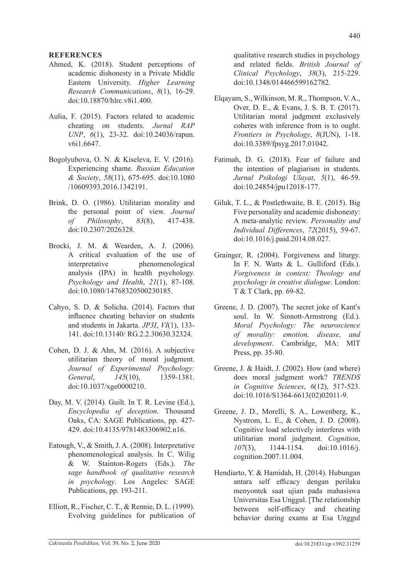#### **REFERENCES**

- Ahmed, K. (2018). Student perceptions of academic dishonesty in a Private Middle Eastern University. *Higher Learning Research Communications*, *8*(1), 16-29. doi:10.18870/hlrc.v8i1.400.
- Aulia, F. (2015). Factors related to academic cheating on students. *Jurnal RAP UNP*, *6*(1), 23-32. doi:10.24036/rapun. v6i1.6647.
- Bogolyubova, O. N. & Kiseleva, E. V. (2016). Experiencing shame. *Russian Education & Society*, *58*(11), 675-695. doi:10.1080 /10609393.2016.1342191.
- Brink, D. O. (1986). Utilitarian morality and the personal point of view. *Journal of Philosophy*, *83*(8), 417-438. doi:10.2307/2026328.
- Brocki, J. M. & Wearden, A. J. (2006). A critical evaluation of the use of interpretative phenomenological analysis (IPA) in health psychology. *Psychology and Health*, *21*(1), 87-108. doi:10.1080/14768320500230185.
- Cahyo, S. D. & Solicha. (2014). Factors that influence cheating behavior on students and students in Jakarta. *JP3I*, *VI*(1), 133- 141. doi:10.13140/ RG.2.2.30630.32324.
- Cohen, D. J. & Ahn, M. (2016). A subjective utilitarian theory of moral judgment. *Journal of Experimental Psychology: General*, *145*(10), 1359-1381. doi:10.1037/xge0000210.
- Day, M. V. (2014). Guilt. In T. R. Levine (Ed.), *Encyclopedia of deception*. Thousand Oaks, CA: SAGE Publications, pp. 427- 429. doi:10.4135/9781483306902.n16.
- Eatough, V., & Smith, J. A. (2008). Interpretative phenomenological analysis. In C. Wilig & W. Stainton-Rogers (Eds.). *The sage handbook of qualitative research in psychology*. Los Angeles: SAGE Publications, pp. 193-211.
- Elliott, R., Fischer, C. T., & Rennie, D. L. (1999). Evolving guidelines for publication of

qualitative research studies in psychology and related fields. *British Journal of Clinical Psychology*, *38*(3), 215-229. doi:10.1348/014466599162782.

- Elqayam, S., Wilkinson, M. R., Thompson, V. A., Over, D. E., & Evans, J. S. B. T. (2017). Utilitarian moral judgment exclusively coheres with inference from is to ought. *Frontiers in Psychology*, *8*(JUN), 1-18. doi:10.3389/fpsyg.2017.01042.
- Fatimah, D. G. (2018). Fear of failure and the intention of plagiarism in students. *Jurnal Psikologi Ulayat*, *5*(1), 46-59. doi:10.24854/jpu12018-177.
- Giluk, T. L., & Postlethwaite, B. E. (2015). Big Five personality and academic dishonesty: A meta-analytic review. *Personality and Individual Differences*, *72*(2015), 59-67. doi:10.1016/j.paid.2014.08.027.
- Grainger, R. (2004). Forgiveness and liturgy. In F. N. Watts & L. Gulliford (Eds.). *Forgiveness in context: Theology and psychology in creative dialogue*. London: T & T Clark, pp. 69-82.
- Greene, J. D. (2007). The secret joke of Kant's soul. In W. Sinnott-Armstrong (Ed.). *Moral Psychology: The neuroscience of morality: emotion, disease, and development*. Cambridge, MA: MIT Press, pp. 35-80.
- Greene, J. & Haidt, J. (2002). How (and where) does moral judgment work? *TRENDS in Cognitive Sciences*, *6*(12), 517-523. doi:10.1016/S1364-6613(02)02011-9.
- Greene, J. D., Morelli, S. A., Lowenberg, K., Nystrom, L. E., & Cohen, J. D. (2008). Cognitive load selectively interferes with utilitarian moral judgment. *Cognition*, *107*(3), 1144-1154. doi:10.1016/j. cognition.2007.11.004.
- Hendiarto, Y. & Hamidah, H. (2014). Hubungan antara self efficacy dengan perilaku menyontek saat ujian pada mahasiswa Universitas Esa Unggul. [The relationship between self-efficacy and cheating behavior during exams at Esa Unggul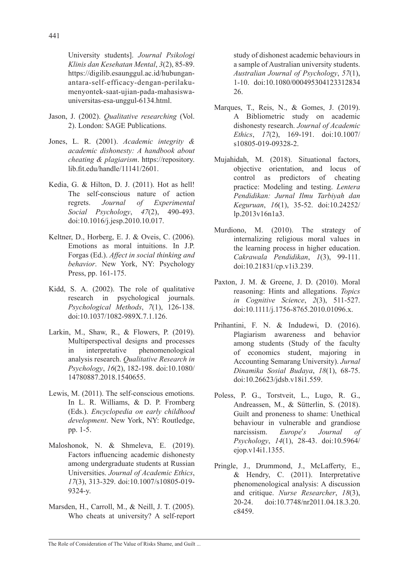University students]. *Journal Psikologi Klinis dan Kesehatan Mental*, *3*(2), 85-89. https://digilib.esaunggul.ac.id/hubunganantara-self-efficacy-dengan-perilakumenyontek-saat-ujian-pada-mahasiswauniversitas-esa-unggul-6134.html.

- Jason, J. (2002). *Qualitative researching* (Vol. 2). London: SAGE Publications.
- Jones, L. R. (2001). *Academic integrity & academic dishonesty: A handbook about cheating & plagiarism*. https://repository. lib.fit.edu/handle/11141/2601.
- Kedia, G. & Hilton, D. J. (2011). Hot as hell! The self-conscious nature of action regrets. *Journal of Experimental Social Psychology*, *47*(2), 490-493. doi:10.1016/j.jesp.2010.10.017.
- Keltner, D., Horberg, E. J. & Oveis, C. (2006). Emotions as moral intuitions. In J.P. Forgas (Ed.). *Affect in social thinking and behavior*. New York, NY: Psychology Press, pp. 161-175.
- Kidd, S. A. (2002). The role of qualitative research in psychological journals. *Psychological Methods*, *7*(1), 126-138. doi:10.1037/1082-989X.7.1.126.
- Larkin, M., Shaw, R., & Flowers, P. (2019). Multiperspectival designs and processes in interpretative phenomenological analysis research. *Qualitative Research in Psychology*, *16*(2), 182-198. doi:10.1080/ 14780887.2018.1540655.
- Lewis, M. (2011). The self-conscious emotions. In L. R. Williams, & D. P. Fromberg (Eds.). *Encyclopedia on early childhood development*. New York, NY: Routledge, pp. 1-5.
- Maloshonok, N. & Shmeleva, E. (2019). Factors influencing academic dishonesty among undergraduate students at Russian Universities. *Journal of Academic Ethics*, *17*(3), 313-329. doi:10.1007/s10805-019- 9324-y.
- Marsden, H., Carroll, M., & Neill, J. T. (2005). Who cheats at university? A self-report

study of dishonest academic behaviours in a sample of Australian university students. *Australian Journal of Psychology*, *57*(1), 1-10. doi:10.1080/000495304123312834 26.

- Marques, T., Reis, N., & Gomes, J. (2019). A Bibliometric study on academic dishonesty research. *Journal of Academic Ethics*, *17*(2), 169-191. doi:10.1007/ s10805-019-09328-2.
- Mujahidah, M. (2018). Situational factors, objective orientation, and locus of control as predictors of cheating practice: Modeling and testing. *Lentera Pendidikan: Jurnal Ilmu Tarbiyah dan Keguruan*, *16*(1), 35-52. doi:10.24252/ lp.2013v16n1a3.
- Murdiono, M. (2010). The strategy of internalizing religious moral values in the learning process in higher education. *Cakrawala Pendidikan*, *1*(3), 99-111. doi:10.21831/cp.v1i3.239.
- Paxton, J. M. & Greene, J. D. (2010). Moral reasoning: Hints and allegations. *Topics in Cognitive Science*, *2*(3), 511-527. doi:10.1111/j.1756-8765.2010.01096.x.
- Prihantini, F. N. & Indudewi, D. (2016). Plagiarism awareness and behavior among students (Study of the faculty of economics student, majoring in Accounting Semarang University). *Jurnal Dinamika Sosial Budaya*, *18*(1), 68-75. doi:10.26623/jdsb.v18i1.559.
- Poless, P. G., Torstveit, L., Lugo, R. G., Andreassen, M., & Sütterlin, S. (2018). Guilt and proneness to shame: Unethical behaviour in vulnerable and grandiose narcissism. *Europe*'*s Journal of Psychology*, *14*(1), 28-43. doi:10.5964/ ejop.v14i1.1355.
- Pringle, J., Drummond, J., McLafferty, E., & Hendry, C. (2011). Interpretative phenomenological analysis: A discussion and critique. *Nurse Researcher*, *18*(3), 20-24. doi:10.7748/nr2011.04.18.3.20. c8459.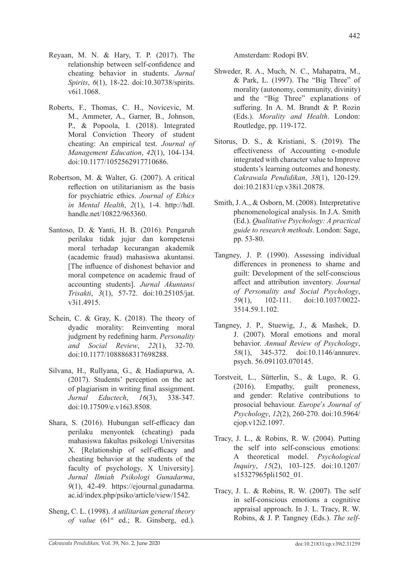- Reyaan, M. N. & Hary, T. P. (2017). The relationship between self-confidence and cheating behavior in students. *Jurnal Spirits*, *6*(1), 18-22. doi:10.30738/spirits. v6i1.1068.
- Roberts, F., Thomas, C. H., Novicevic, M. M., Ammeter, A., Garner, B., Johnson, P., & Popoola, I. (2018). Integrated Moral Conviction Theory of student cheating: An empirical test. *Journal of Management Education*, *42*(1), 104-134. doi:10.1177/1052562917710686.
- Robertson, M. & Walter, G. (2007). A critical reflection on utilitarianism as the basis for psychiatric ethics. *Journal of Ethics in Mental Health*, *2*(1), 1-4. http://hdl. handle.net/10822/965360.
- Santoso, D. & Yanti, H. B. (2016). Pengaruh perilaku tidak jujur dan kompetensi moral terhadap kecurangan akademik (academic fraud) mahasiswa akuntansi. [The influence of dishonest behavior and moral competence on academic fraud of accounting students]. *Jurnal Akuntansi Trisakti*, *3*(1), 57-72. doi:10.25105/jat. v3i1.4915.
- Schein, C. & Gray, K. (2018). The theory of dyadic morality: Reinventing moral judgment by redefining harm. *Personality and Social Review*, *22*(1), 32-70. doi:10.1177/1088868317698288.
- Silvana, H., Rullyana, G., & Hadiapurwa, A. (2017). Students' perception on the act of plagiarism in writing final assignment. *Jurnal Eductech*, *16*(3), 338-347. doi:10.17509/e.v16i3.8508.
- Shara, S. (2016). Hubungan self-efficacy dan perilaku menyontek (cheating) pada mahasiswa fakultas psikologi Universitas X. [Relationship of self-efficacy and cheating behavior at the students of the faculty of psychology, X University]. *Jurnal Ilmiah Psikologi Gunadarma*, *9*(1), 42-49. https://ejournal.gunadarma. ac.id/index.php/psiko/article/view/1542.
- Sheng, C. L. (1998). *A utilitarian general theory*  of value (61<sup>st</sup> ed.; R. Ginsberg, ed.).

Amsterdam: Rodopi BV.

- Shweder, R. A., Much, N. C., Mahapatra, M., & Park, L. (1997). The "Big Three" of morality (autonomy, community, divinity) and the "Big Three" explanations of suffering. In A. M. Brandt & P. Rozin (Eds.). *Morality and Health*. London: Routledge, pp. 119-172.
- Sitorus, D. S., & Kristiani, S. (2019). The effectiveness of Accounting e-module integrated with character value to Improve students's learning outcomes and honesty. *Cakrawala Pendidikan*, *38*(1), 120-129. doi:10.21831/cp.v38i1.20878.
- Smith, J. A., & Osborn, M. (2008). Interpretative phenomenological analysis. In J.A. Smith (Ed.). *Qualitative Psychology: A practical guide to research methods*. London: Sage, pp. 53-80.
- Tangney, J. P. (1990). Assessing individual differences in proneness to shame and guilt: Development of the self-conscious affect and attribution inventory. *Journal of Personality and Social Psychology*, *59*(1), 102-111. doi:10.1037/0022- 3514.59.1.102.
- Tangney, J. P., Stuewig, J., & Mashek, D. J. (2007). Moral emotions and moral behavior. *Annual Review of Psychology*, *58*(1), 345-372. doi:10.1146/annurev. psych. 56.091103.070145.
- Torstveit, L., Sütterlin, S., & Lugo, R. G. (2016). Empathy, guilt proneness, and gender: Relative contributions to prosocial behaviour. *Europe*'*s Journal of Psychology*, *12*(2), 260-270. doi:10.5964/ ejop.v12i2.1097.
- Tracy, J. L., & Robins, R. W. (2004). Putting the self into self-conscious emotions: A theoretical model. *Psychological Inquiry*, *15*(2), 103-125. doi:10.1207/ s15327965pli1502\_01.
- Tracy, J. L. & Robins, R. W. (2007). The self in self-conscious emotions a cognitive appraisal approach. In J. L. Tracy, R. W. Robins, & J. P. Tangney (Eds.). *The self-*